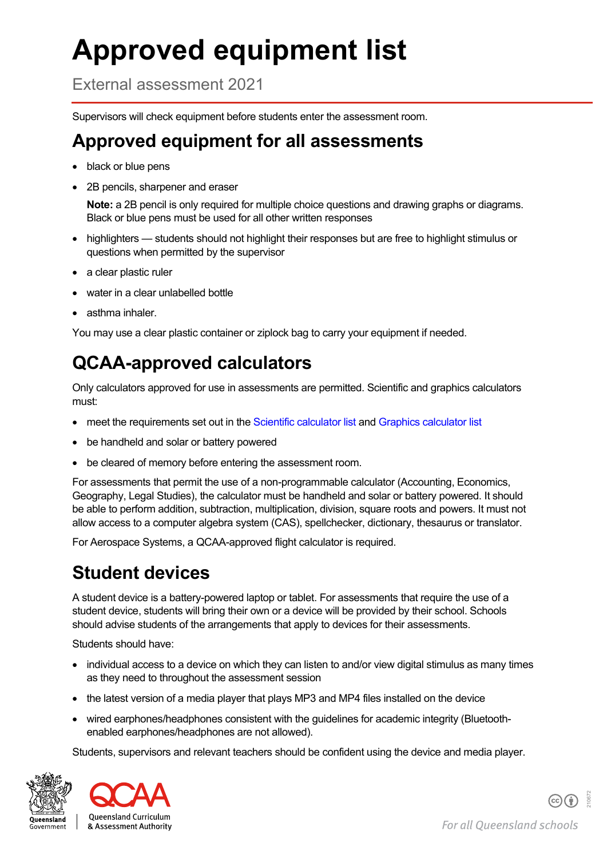# **Approved equipment list**

External assessment 2021

Supervisors will check equipment before students enter the assessment room.

#### **Approved equipment for all assessments**

- black or blue pens
- 2B pencils, sharpener and eraser

**Note:** a 2B pencil is only required for multiple choice questions and drawing graphs or diagrams. Black or blue pens must be used for all other written responses

- highlighters students should not highlight their responses but are free to highlight stimulus or questions when permitted by the supervisor
- a clear plastic ruler
- water in a clear unlabelled bottle
- asthma inhaler.

You may use a clear plastic container or ziplock bag to carry your equipment if needed.

## **QCAA-approved calculators**

Only calculators approved for use in assessments are permitted. Scientific and graphics calculators must:

- meet the requirements set out in th[e Scientific calculator list](https://www.qcaa.qld.edu.au/downloads/senior-qce/common/snr_syll_ea_scientific_calculators_list.pdf) and [Graphics calculator list](https://www.qcaa.qld.edu.au/downloads/senior-qce/common/snr_syll_ea_graphics_calculators_list.pdf)
- be handheld and solar or battery powered
- be cleared of memory before entering the assessment room.

For assessments that permit the use of a non-programmable calculator (Accounting, Economics, Geography, Legal Studies), the calculator must be handheld and solar or battery powered. It should be able to perform addition, subtraction, multiplication, division, square roots and powers. It must not allow access to a computer algebra system (CAS), spellchecker, dictionary, thesaurus or translator.

For Aerospace Systems, a QCAA-approved flight calculator is required.

## **Student devices**

A student device is a battery-powered laptop or tablet. For assessments that require the use of a student device, students will bring their own or a device will be provided by their school. Schools should advise students of the arrangements that apply to devices for their assessments.

Students should have:

- individual access to a device on which they can listen to and/or view digital stimulus as many times as they need to throughout the assessment session
- the latest version of a media player that plays MP3 and MP4 files installed on the device
- wired earphones/headphones consistent with the guidelines for academic integrity (Bluetoothenabled earphones/headphones are not allowed).

Students, supervisors and relevant teachers should be confident using the device and media player.



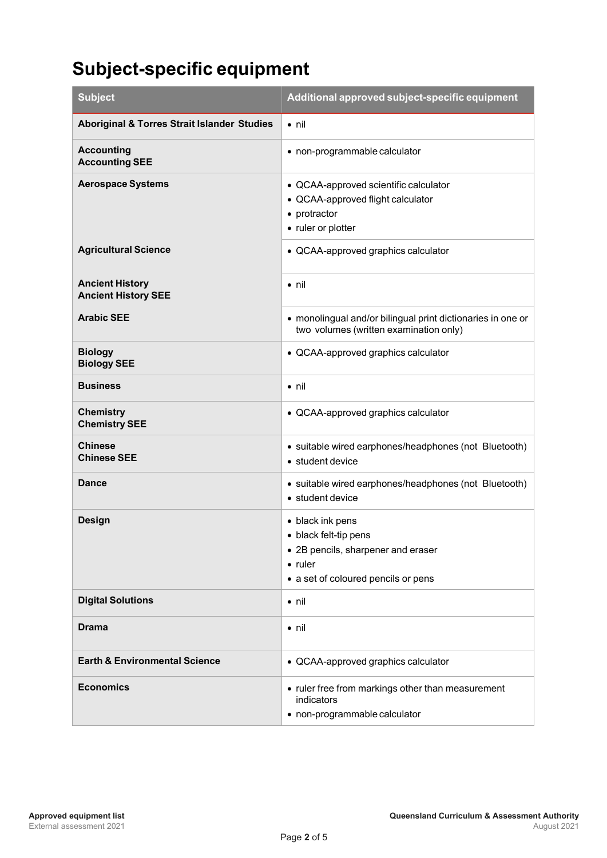## **Subject-specific equipment**

| <b>Subject</b>                                         | Additional approved subject-specific equipment                                                                                            |
|--------------------------------------------------------|-------------------------------------------------------------------------------------------------------------------------------------------|
| <b>Aboriginal &amp; Torres Strait Islander Studies</b> | $\bullet$ nil                                                                                                                             |
| <b>Accounting</b><br><b>Accounting SEE</b>             | • non-programmable calculator                                                                                                             |
| <b>Aerospace Systems</b>                               | • QCAA-approved scientific calculator<br>• QCAA-approved flight calculator<br>• protractor<br>• ruler or plotter                          |
| <b>Agricultural Science</b>                            | • QCAA-approved graphics calculator                                                                                                       |
| <b>Ancient History</b><br><b>Ancient History SEE</b>   | $\bullet$ nil                                                                                                                             |
| <b>Arabic SEE</b>                                      | • monolingual and/or bilingual print dictionaries in one or<br>two volumes (written examination only)                                     |
| <b>Biology</b><br><b>Biology SEE</b>                   | • QCAA-approved graphics calculator                                                                                                       |
| <b>Business</b>                                        | $\bullet$ nil                                                                                                                             |
| <b>Chemistry</b><br><b>Chemistry SEE</b>               | • QCAA-approved graphics calculator                                                                                                       |
| <b>Chinese</b><br><b>Chinese SEE</b>                   | • suitable wired earphones/headphones (not Bluetooth)<br>• student device                                                                 |
| Dance                                                  | • suitable wired earphones/headphones (not Bluetooth)<br>• student device                                                                 |
| <b>Design</b>                                          | • black ink pens<br>• black felt-tip pens<br>• 2B pencils, sharpener and eraser<br>$\bullet$ ruler<br>• a set of coloured pencils or pens |
| <b>Digital Solutions</b>                               | $\bullet$ nil                                                                                                                             |
| Drama                                                  | $\bullet$ nil                                                                                                                             |
| <b>Earth &amp; Environmental Science</b>               | • QCAA-approved graphics calculator                                                                                                       |
| <b>Economics</b>                                       | • ruler free from markings other than measurement<br>indicators<br>• non-programmable calculator                                          |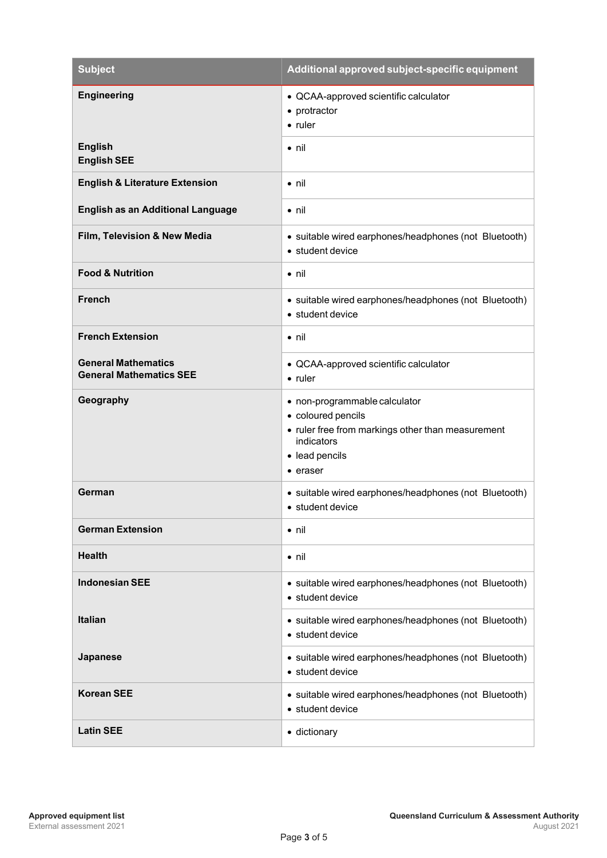| <b>Subject</b>                                               | Additional approved subject-specific equipment                                                                                                       |
|--------------------------------------------------------------|------------------------------------------------------------------------------------------------------------------------------------------------------|
| <b>Engineering</b>                                           | • QCAA-approved scientific calculator<br>• protractor<br>• ruler                                                                                     |
| <b>English</b><br><b>English SEE</b>                         | $\bullet$ nil                                                                                                                                        |
| <b>English &amp; Literature Extension</b>                    | $\bullet$ nil                                                                                                                                        |
| <b>English as an Additional Language</b>                     | $\bullet$ nil                                                                                                                                        |
| Film, Television & New Media                                 | • suitable wired earphones/headphones (not Bluetooth)<br>• student device                                                                            |
| <b>Food &amp; Nutrition</b>                                  | $\bullet$ nil                                                                                                                                        |
| <b>French</b>                                                | • suitable wired earphones/headphones (not Bluetooth)<br>• student device                                                                            |
| <b>French Extension</b>                                      | $\bullet$ nil                                                                                                                                        |
| <b>General Mathematics</b><br><b>General Mathematics SEE</b> | • QCAA-approved scientific calculator<br>$\bullet$ ruler                                                                                             |
| Geography                                                    | • non-programmable calculator<br>• coloured pencils<br>• ruler free from markings other than measurement<br>indicators<br>• lead pencils<br>• eraser |
| German                                                       | • suitable wired earphones/headphones (not Bluetooth)<br>• student device                                                                            |
| <b>German Extension</b>                                      | $\bullet$ nil                                                                                                                                        |
| <b>Health</b>                                                | $\bullet$ nil                                                                                                                                        |
| <b>Indonesian SEE</b>                                        | • suitable wired earphones/headphones (not Bluetooth)<br>· student device                                                                            |
| <b>Italian</b>                                               | • suitable wired earphones/headphones (not Bluetooth)<br>· student device                                                                            |
| Japanese                                                     | • suitable wired earphones/headphones (not Bluetooth)<br>· student device                                                                            |
| <b>Korean SEE</b>                                            | • suitable wired earphones/headphones (not Bluetooth)<br>• student device                                                                            |
| <b>Latin SEE</b>                                             | · dictionary                                                                                                                                         |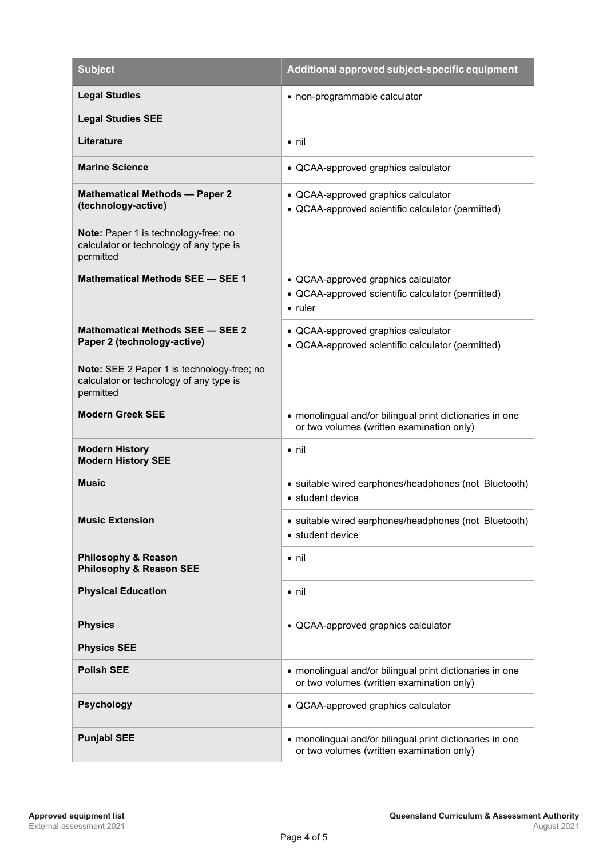| <b>Subject</b>                                                                                     | Additional approved subject-specific equipment                                                        |
|----------------------------------------------------------------------------------------------------|-------------------------------------------------------------------------------------------------------|
| <b>Legal Studies</b>                                                                               | • non-programmable calculator                                                                         |
| <b>Legal Studies SEE</b>                                                                           |                                                                                                       |
| <b>Literature</b>                                                                                  | $\bullet$ nil                                                                                         |
| <b>Marine Science</b>                                                                              | • QCAA-approved graphics calculator                                                                   |
| <b>Mathematical Methods - Paper 2</b><br>(technology-active)                                       | • QCAA-approved graphics calculator<br>• QCAA-approved scientific calculator (permitted)              |
| Note: Paper 1 is technology-free; no<br>calculator or technology of any type is<br>permitted       |                                                                                                       |
| Mathematical Methods SEE - SEE 1                                                                   | • QCAA-approved graphics calculator                                                                   |
|                                                                                                    | • QCAA-approved scientific calculator (permitted)<br>$\bullet$ ruler                                  |
| Mathematical Methods SEE - SEE 2<br>Paper 2 (technology-active)                                    | • QCAA-approved graphics calculator<br>• QCAA-approved scientific calculator (permitted)              |
| Note: SEE 2 Paper 1 is technology-free; no<br>calculator or technology of any type is<br>permitted |                                                                                                       |
| <b>Modern Greek SEE</b>                                                                            | • monolingual and/or bilingual print dictionaries in one<br>or two volumes (written examination only) |
| <b>Modern History</b><br><b>Modern History SEE</b>                                                 | • nil                                                                                                 |
| <b>Music</b>                                                                                       | • suitable wired earphones/headphones (not Bluetooth)<br>• student device                             |
| <b>Music Extension</b>                                                                             | • suitable wired earphones/headphones (not Bluetooth)<br>• student device                             |
| <b>Philosophy &amp; Reason</b><br><b>Philosophy &amp; Reason SEE</b>                               | $\bullet$ nil                                                                                         |
| <b>Physical Education</b>                                                                          | $\bullet$ nil                                                                                         |
| <b>Physics</b>                                                                                     | • QCAA-approved graphics calculator                                                                   |
| <b>Physics SEE</b>                                                                                 |                                                                                                       |
| <b>Polish SEE</b>                                                                                  | • monolingual and/or bilingual print dictionaries in one<br>or two volumes (written examination only) |
| <b>Psychology</b>                                                                                  | • QCAA-approved graphics calculator                                                                   |
| <b>Punjabi SEE</b>                                                                                 | • monolingual and/or bilingual print dictionaries in one<br>or two volumes (written examination only) |